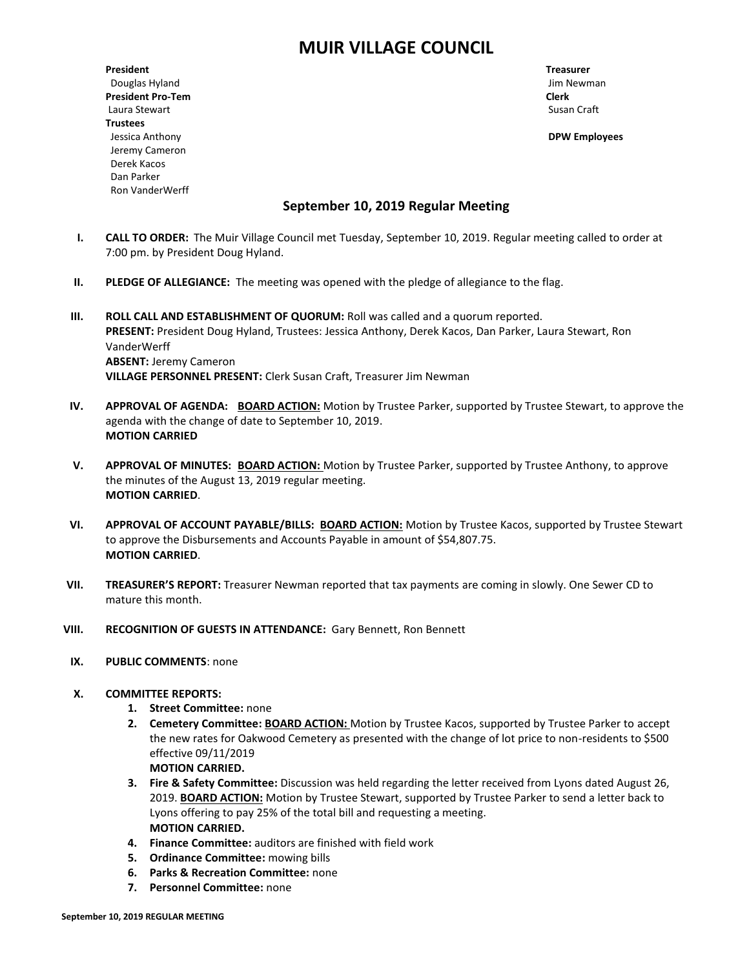# **MUIR VILLAGE COUNCIL**

**President Treasurer** Douglas Hyland Jim Newman **President Pro-Tem Clerk** Laura Stewart **Susan Craft** Susan Craft Susan Craft Susan Craft Susan Craft Susan Craft Susan Craft Susan Craft Susan Craft Susan Craft Susan Craft Susan Craft Susan Craft Susan Craft Susan Craft Susan Craft Susan Craft Su **Trustees** Jessica Anthony **DPW Employees** Jeremy Cameron Derek Kacos Dan Parker Ron VanderWerff

## **September 10, 2019 Regular Meeting**

- **I. CALL TO ORDER:** The Muir Village Council met Tuesday, September 10, 2019. Regular meeting called to order at 7:00 pm. by President Doug Hyland.
- **II. PLEDGE OF ALLEGIANCE:** The meeting was opened with the pledge of allegiance to the flag.
- **III. ROLL CALL AND ESTABLISHMENT OF QUORUM:** Roll was called and a quorum reported. **PRESENT:** President Doug Hyland, Trustees: Jessica Anthony, Derek Kacos, Dan Parker, Laura Stewart, Ron VanderWerff **ABSENT:** Jeremy Cameron **VILLAGE PERSONNEL PRESENT:** Clerk Susan Craft, Treasurer Jim Newman
- **IV. APPROVAL OF AGENDA: BOARD ACTION:** Motion by Trustee Parker, supported by Trustee Stewart, to approve the agenda with the change of date to September 10, 2019. **MOTION CARRIED**
- **V. APPROVAL OF MINUTES: BOARD ACTION:** Motion by Trustee Parker, supported by Trustee Anthony, to approve the minutes of the August 13, 2019 regular meeting. **MOTION CARRIED**.
- **VI. APPROVAL OF ACCOUNT PAYABLE/BILLS: BOARD ACTION:** Motion by Trustee Kacos, supported by Trustee Stewart to approve the Disbursements and Accounts Payable in amount of \$54,807.75. **MOTION CARRIED**.
- **VII. TREASURER'S REPORT:** Treasurer Newman reported that tax payments are coming in slowly. One Sewer CD to mature this month.
- **VIII. RECOGNITION OF GUESTS IN ATTENDANCE:** Gary Bennett, Ron Bennett
- **IX. PUBLIC COMMENTS**: none
- **X. COMMITTEE REPORTS:**
	- **1. Street Committee:** none
	- **2. Cemetery Committee: BOARD ACTION:** Motion by Trustee Kacos, supported by Trustee Parker to accept the new rates for Oakwood Cemetery as presented with the change of lot price to non-residents to \$500 effective 09/11/2019 **MOTION CARRIED.**
	- **3. Fire & Safety Committee:** Discussion was held regarding the letter received from Lyons dated August 26, 2019. **BOARD ACTION:** Motion by Trustee Stewart, supported by Trustee Parker to send a letter back to Lyons offering to pay 25% of the total bill and requesting a meeting. **MOTION CARRIED.**
	- **4. Finance Committee:** auditors are finished with field work
	- **5. Ordinance Committee:** mowing bills
	- **6. Parks & Recreation Committee:** none
	- **7. Personnel Committee:** none